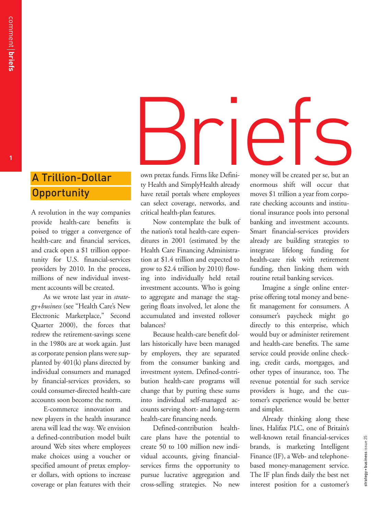# A Trillion-Dollar **Opportunity**

A revolution in the way companies provide health-care benefits is poised to trigger a convergence of health-care and financial services, and crack open a \$1 trillion opportunity for U.S. financial-services providers by 2010. In the process, millions of new individual investment accounts will be created.

As we wrote last year in *strategy+business* (see "Health Care's New Electronic Marketplace," Second Quarter 2000), the forces that redrew the retirement-savings scene in the 1980s are at work again. Just as corporate pension plans were supplanted by 401(k) plans directed by individual consumers and managed by financial-services providers, so could consumer-directed health-care accounts soon become the norm.

E-commerce innovation and new players in the health insurance arena will lead the way. We envision a defined-contribution model built around Web sites where employees make choices using a voucher or specified amount of pretax employer dollars, with options to increase coverage or plan features with their

# en and SimplyHealth already<br>
En and SimplyHealth already<br>
En and SimplyHealth already<br>
En anormous shift will occur that

own pretax funds. Firms like Definity Health and SimplyHealth already have retail portals where employees can select coverage, networks, and critical health-plan features.

Now contemplate the bulk of the nation's total health-care expenditures in 2001 (estimated by the Health Care Financing Administration at \$1.4 trillion and expected to grow to \$2.4 trillion by 2010) flowing into individually held retail investment accounts. Who is going to aggregate and manage the staggering floats involved, let alone the accumulated and invested rollover balances?

Because health-care benefit dollars historically have been managed by employers, they are separated from the consumer banking and investment system. Defined-contribution health-care programs will change that by putting these sums into individual self-managed accounts serving short- and long-term health-care financing needs.

Defined-contribution healthcare plans have the potential to create 50 to 100 million new individual accounts, giving financialservices firms the opportunity to pursue lucrative aggregation and cross-selling strategies. No new money will be created per se, but an enormous shift will occur that moves \$1 trillion a year from corporate checking accounts and institutional insurance pools into personal banking and investment accounts. Smart financial-services providers already are building strategies to integrate lifelong funding for health-care risk with retirement funding, then linking them with routine retail banking services.

Imagine a single online enterprise offering total money and benefit management for consumers. A consumer's paycheck might go directly to this enterprise, which would buy or administer retirement and health-care benefits. The same service could provide online checking, credit cards, mortgages, and other types of insurance, too. The revenue potential for such service providers is huge, and the customer's experience would be better and simpler.

Already thinking along these lines, Halifax PLC, one of Britain's well-known retail financial-services brands, is marketing Intelligent Finance (IF), a Web- and telephonebased money-management service. The IF plan finds daily the best net interest position for a customer's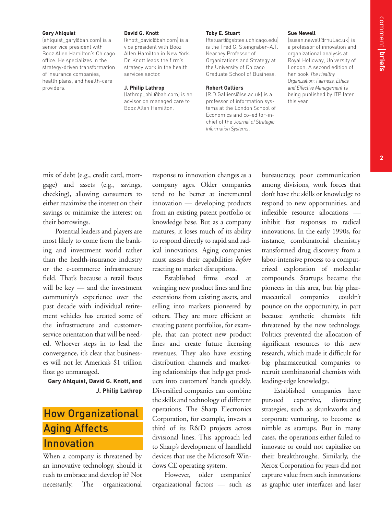# **2**

**Gary Ahlquist**

(ahlquist\_gary@bah.com) is a senior vice president with Booz Allen Hamilton's Chicago office. He specializes in the strategy-driven transformation of insurance companies, health plans, and health-care providers.

### **David G. Knott**

(knott\_david@bah.com) is a vice president with Booz Allen Hamilton in New York. Dr. Knott leads the firm's strategy work in the health services sector.

**J. Philip Lathrop**

(lathrop\_phil@bah.com) is an advisor on managed care to Booz Allen Hamilton.

**Toby E. Stuart**

(ftstuart@gsbtes.uchicago.edu) is the Fred G. Steingraber–A.T. Kearney Professor of Organizations and Strategy at the University of Chicago Graduate School of Business.

### **Robert Galliers**

(R.D.Galliers@lse.ac.uk) is a professor of information systems at the London School of Economics and co–editor-inchief of the *Journal of Strategic Information Systems*.

**Sue Newell** (susan.newell@rhul.ac.uk) is a professor of innovation and organizational analysis at Royal Holloway, University of London. A second edition of her book *The Healthy Organization: Fairness, Ethics and Effective Management* is

being published by ITP later this year.

mix of debt (e.g., credit card, mortgage) and assets (e.g., savings, checking), allowing consumers to either maximize the interest on their savings or minimize the interest on their borrowings.

Potential leaders and players are most likely to come from the banking and investment world rather than the health-insurance industry or the e-commerce infrastructure field. That's because a retail focus will be key — and the investment community's experience over the past decade with individual retirement vehicles has created some of the infrastructure and customerservice orientation that will be needed. Whoever steps in to lead the convergence, it's clear that businesses will not let America's \$1 trillion float go unmanaged.

**Gary Ahlquist, David G. Knott, and J. Philip Lathrop**

# How Organizational Aging Affects Innovation

When a company is threatened by an innovative technology, should it rush to embrace and develop it? Not necessarily. The organizational

response to innovation changes as a company ages. Older companies tend to be better at incremental innovation — developing products from an existing patent portfolio or knowledge base. But as a company matures, it loses much of its ability to respond directly to rapid and radical innovations. Aging companies must assess their capabilities *before* reacting to market disruptions.

Established firms excel at wringing new product lines and line extensions from existing assets, and selling into markets pioneered by others. They are more efficient at creating patent portfolios, for example, that can protect new product lines and create future licensing revenues. They also have existing distribution channels and marketing relationships that help get products into customers' hands quickly. Diversified companies can combine the skills and technology of different operations. The Sharp Electronics Corporation, for example, invests a third of its R&D projects across divisional lines. This approach led to Sharp's development of handheld devices that use the Microsoft Windows CE operating system.

However, older companies' organizational factors — such as bureaucracy, poor communication among divisions, work forces that don't have the skills or knowledge to respond to new opportunities, and inflexible resource allocations inhibit fast responses to radical innovations. In the early 1990s, for instance, combinatorial chemistry transformed drug discovery from a labor-intensive process to a computerized exploration of molecular compounds. Startups became the pioneers in this area, but big pharmaceutical companies couldn't pounce on the opportunity, in part because synthetic chemists felt threatened by the new technology. Politics prevented the allocation of significant resources to this new research, which made it difficult for big pharmaceutical companies to recruit combinatorial chemists with leading-edge knowledge.

Established companies have pursued expensive, distracting strategies, such as skunkworks and corporate venturing, to become as nimble as startups. But in many cases, the operations either failed to innovate or could not capitalize on their breakthroughs. Similarly, the Xerox Corporation for years did not capture value from such innovations as graphic user interfaces and laser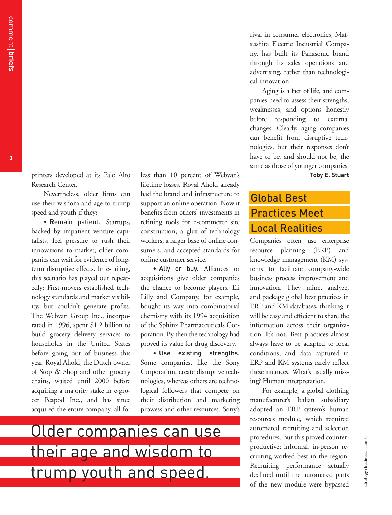printers developed at its Palo Alto Research Center.

Nevertheless, older firms can use their wisdom and age to trump speed and youth if they:

• Remain patient. Startups, backed by impatient venture capitalists, feel pressure to rush their innovations to market; older companies can wait for evidence of longterm disruptive effects. In e-tailing, this scenario has played out repeatedly: First-movers established technology standards and market visibility, but couldn't generate profits. The Webvan Group Inc., incorporated in 1996, spent \$1.2 billion to build grocery delivery services to households in the United States before going out of business this year. Royal Ahold, the Dutch owner of Stop & Shop and other grocery chains, waited until 2000 before acquiring a majority stake in e-grocer Peapod Inc., and has since acquired the entire company, all for

less than 10 percent of Webvan's lifetime losses. Royal Ahold already had the brand and infrastructure to support an online operation. Now it benefits from others' investments in refining tools for e-commerce site construction, a glut of technology workers, a larger base of online consumers, and accepted standards for online customer service.

• Ally or buy. Alliances or acquisitions give older companies the chance to become players. Eli Lilly and Company, for example, bought its way into combinatorial chemistry with its 1994 acquisition of the Sphinx Pharmaceuticals Corporation. By then the technology had proved its value for drug discovery.

• Use existing strengths. Some companies, like the Sony Corporation, create disruptive technologies, whereas others are technological followers that compete on their distribution and marketing prowess and other resources. Sony's

Older companies can use their age and wisdom to trump youth and speed.

rival in consumer electronics, Matsushita Electric Industrial Company, has built its Panasonic brand through its sales operations and advertising, rather than technological innovation.

Aging is a fact of life, and companies need to assess their strengths, weaknesses, and options honestly before responding to external changes. Clearly, aging companies can benefit from disruptive technologies, but their responses don't have to be, and should not be, the same as those of younger companies. **Toby E. Stuart**

# Global Best Practices Meet Local Realities

Companies often use enterprise resource planning (ERP) and knowledge management (KM) systems to facilitate company-wide business process improvement and innovation. They mine, analyze, and package global best practices in ERP and KM databases, thinking it will be easy and efficient to share the information across their organization. It's not. Best practices almost always have to be adapted to local conditions, and data captured in ERP and KM systems rarely reflect these nuances. What's usually missing? Human interpretation.

For example, a global clothing manufacturer's Italian subsidiary adopted an ERP system's human resources module, which required automated recruiting and selection procedures. But this proved counterproductive; informal, in-person recruiting worked best in the region. Recruiting performance actually declined until the automated parts of the new module were bypassed